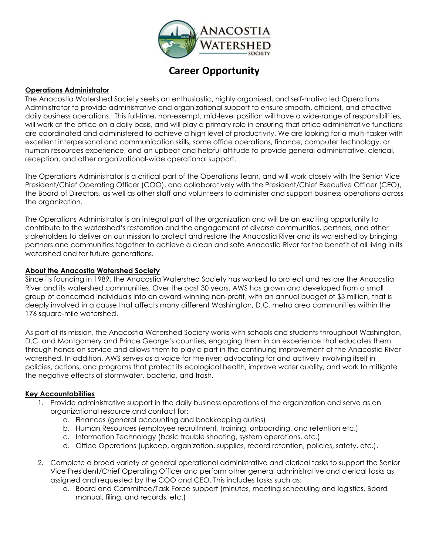

# **Career Opportunity**

#### **Operations Administrator**

The Anacostia Watershed Society seeks an enthusiastic, highly organized, and self-motivated Operations Administrator to provide administrative and organizational support to ensure smooth, efficient, and effective daily business operations. This full-time, non-exempt, mid-level position will have a wide-range of responsibilities, will work at the office on a daily basis, and will play a primary role in ensuring that office administrative functions are coordinated and administered to achieve a high level of productivity. We are looking for a multi-tasker with excellent interpersonal and communication skills, some office operations, finance, computer technology, or human resources experience, and an upbeat and helpful attitude to provide general administrative, clerical, reception, and other organizational-wide operational support.

The Operations Administrator is a critical part of the Operations Team, and will work closely with the Senior Vice President/Chief Operating Officer (COO), and collaboratively with the President/Chief Executive Officer (CEO), the Board of Directors, as well as other staff and volunteers to administer and support business operations across the organization.

The Operations Administrator is an integral part of the organization and will be an exciting opportunity to contribute to the watershed's restoration and the engagement of diverse communities, partners, and other stakeholders to deliver on our mission to protect and restore the Anacostia River and its watershed by bringing partners and communities together to achieve a clean and safe Anacostia River for the benefit of all living in its watershed and for future generations.

#### **About the Anacostia Watershed Society**

Since its founding in 1989, the Anacostia Watershed Society has worked to protect and restore the Anacostia River and its watershed communities. Over the past 30 years, AWS has grown and developed from a small group of concerned individuals into an award-winning non-profit, with an annual budget of \$3 million, that is deeply involved in a cause that affects many different Washington, D.C. metro area communities within the 176 square-mile watershed.

As part of its mission, the Anacostia Watershed Society works with schools and students throughout Washington, D.C. and Montgomery and Prince George's counties, engaging them in an experience that educates them through hands-on service and allows them to play a part in the continuing improvement of the Anacostia River watershed. In addition, AWS serves as a voice for the river; advocating for and actively involving itself in policies, actions, and programs that protect its ecological health, improve water quality, and work to mitigate the negative effects of stormwater, bacteria, and trash.

#### **Key Accountabilities**

- 1. Provide administrative support in the daily business operations of the organization and serve as an organizational resource and contact for:
	- a. Finances (general accounting and bookkeeping duties)
	- b. Human Resources (employee recruitment, training, onboarding, and retention etc.)
	- c. Information Technology (basic trouble shooting, system operations, etc.)
	- d. Office Operations (upkeep, organization, supplies, record retention, policies, safety, etc.).
- 2. Complete a broad variety of general operational administrative and clerical tasks to support the Senior Vice President/Chief Operating Officer and perform other general administrative and clerical tasks as assigned and requested by the COO and CEO. This includes tasks such as:
	- a. Board and Committee/Task Force support (minutes, meeting scheduling and logistics, Board manual, filing, and records, etc.)